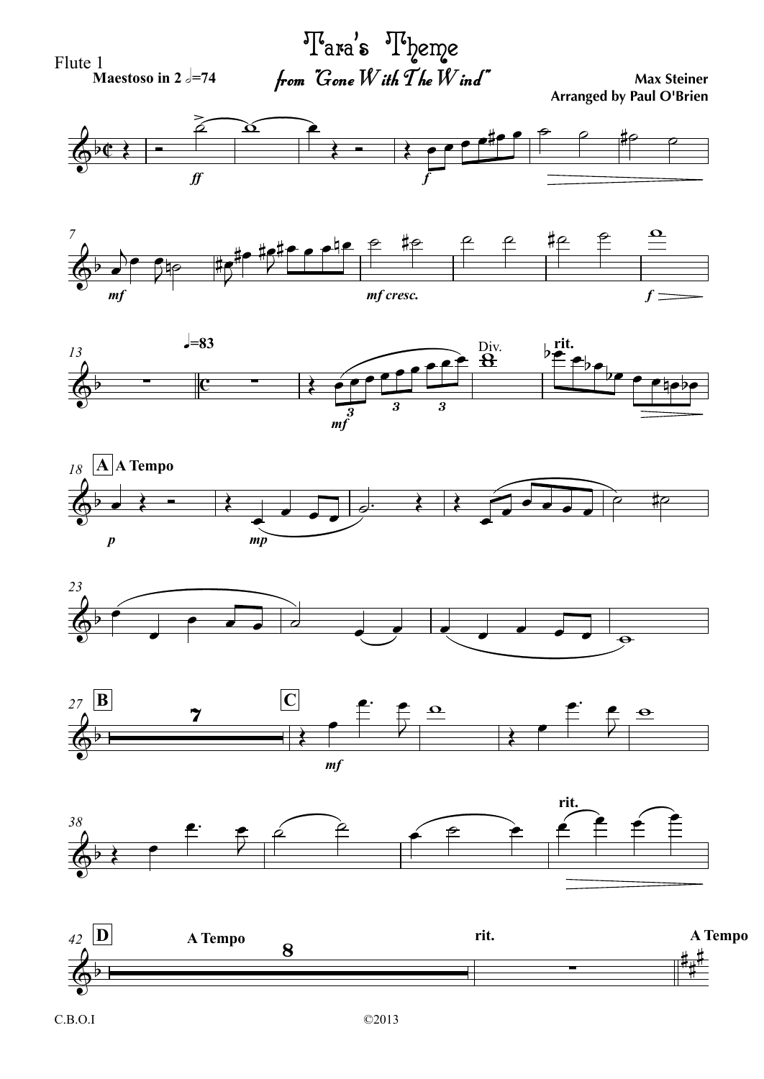



©2013